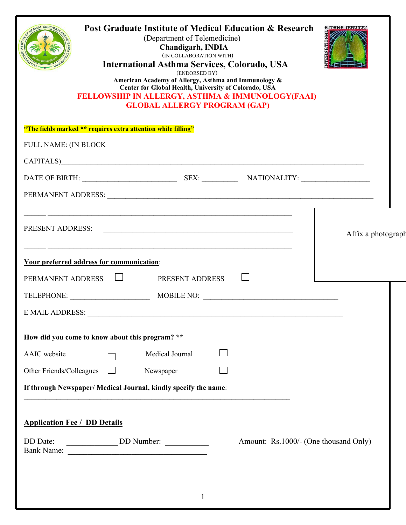| <b>Post Graduate Institute of Medical Education &amp; Research</b><br><b>International Asthma Services, Colorado, USA</b><br>American Academy of Allergy, Asthma and Immunology &<br>Center for Global Health, University of Colorado, USA<br>FELLOWSHIP IN ALLERGY, ASTHMA & IMMUNOLOGY(FAAI)<br><b>GLOBAL ALLERGY PROGRAM (GAP)</b> | <b>AJTHMA JERUICEJ</b>                                                                                               |                                       |                    |
|---------------------------------------------------------------------------------------------------------------------------------------------------------------------------------------------------------------------------------------------------------------------------------------------------------------------------------------|----------------------------------------------------------------------------------------------------------------------|---------------------------------------|--------------------|
| "The fields marked ** requires extra attention while filling"                                                                                                                                                                                                                                                                         |                                                                                                                      |                                       |                    |
| FULL NAME: (IN BLOCK                                                                                                                                                                                                                                                                                                                  |                                                                                                                      |                                       |                    |
| CAPITALS)                                                                                                                                                                                                                                                                                                                             |                                                                                                                      |                                       |                    |
|                                                                                                                                                                                                                                                                                                                                       |                                                                                                                      |                                       |                    |
|                                                                                                                                                                                                                                                                                                                                       |                                                                                                                      |                                       |                    |
| PRESENT ADDRESS:                                                                                                                                                                                                                                                                                                                      | <u> 1989 - Andrea Santa Andrea Andrea Andrea Andrea Andrea Andrea Andrea Andrea Andrea Andrea Andrea Andrea Andr</u> |                                       | Affix a photograph |
| Your preferred address for communication:                                                                                                                                                                                                                                                                                             |                                                                                                                      |                                       |                    |
| PERMANENT ADDRESS $\Box$                                                                                                                                                                                                                                                                                                              | PRESENT ADDRESS                                                                                                      |                                       |                    |
| TELEPHONE: MOBILE NO:                                                                                                                                                                                                                                                                                                                 |                                                                                                                      |                                       |                    |
| <b>E MAIL ADDRESS:</b>                                                                                                                                                                                                                                                                                                                |                                                                                                                      |                                       |                    |
| How did you come to know about this program? **                                                                                                                                                                                                                                                                                       |                                                                                                                      |                                       |                    |
| AAIC website                                                                                                                                                                                                                                                                                                                          | Medical Journal                                                                                                      |                                       |                    |
| Other Friends/Colleagues                                                                                                                                                                                                                                                                                                              | Newspaper                                                                                                            |                                       |                    |
| If through Newspaper/ Medical Journal, kindly specify the name:                                                                                                                                                                                                                                                                       |                                                                                                                      |                                       |                    |
| <b>Application Fee / DD Details</b><br>DD Date:                                                                                                                                                                                                                                                                                       |                                                                                                                      | Amount: Rs.1000/- (One thousand Only) |                    |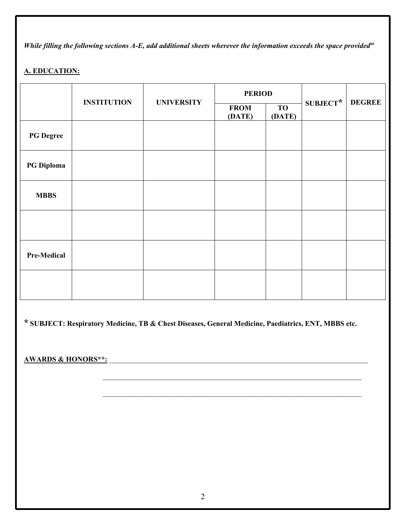*While filling the following sections A-E, add additional sheets wherever the information exceeds the space provided*<sup>##</sup>

# **A. EDUCATION:**

|                    | <b>INSTITUTION</b> | <b>UNIVERSITY</b> | <b>PERIOD</b>         |                     |            |               |
|--------------------|--------------------|-------------------|-----------------------|---------------------|------------|---------------|
|                    |                    |                   | <b>FROM</b><br>(DATE) | <b>TO</b><br>(DATE) | $SUBJECT*$ | <b>DEGREE</b> |
| <b>PG</b> Degree   |                    |                   |                       |                     |            |               |
| <b>PG Diploma</b>  |                    |                   |                       |                     |            |               |
| <b>MBBS</b>        |                    |                   |                       |                     |            |               |
|                    |                    |                   |                       |                     |            |               |
| <b>Pre-Medical</b> |                    |                   |                       |                     |            |               |
|                    |                    |                   |                       |                     |            |               |

**\* SUBJECT: Respiratory Medicine, TB & Chest Diseases, General Medicine, Paediatrics, ENT, MBBS etc.**

**AWARDS & HONORS\*\*:** \_\_\_\_\_\_\_\_\_\_\_\_\_\_\_\_\_\_\_\_\_\_\_\_\_\_\_\_\_\_\_\_\_\_\_\_\_\_\_\_\_\_\_\_\_\_\_\_\_\_\_\_\_\_\_\_\_\_\_\_\_\_\_\_\_\_\_\_\_\_\_

 $\mathcal{L}_\text{max} = \mathcal{L}_\text{max} = \mathcal{L}_\text{max} = \mathcal{L}_\text{max} = \mathcal{L}_\text{max} = \mathcal{L}_\text{max} = \mathcal{L}_\text{max} = \mathcal{L}_\text{max} = \mathcal{L}_\text{max} = \mathcal{L}_\text{max} = \mathcal{L}_\text{max} = \mathcal{L}_\text{max} = \mathcal{L}_\text{max} = \mathcal{L}_\text{max} = \mathcal{L}_\text{max} = \mathcal{L}_\text{max} = \mathcal{L}_\text{max} = \mathcal{L}_\text{max} = \mathcal{$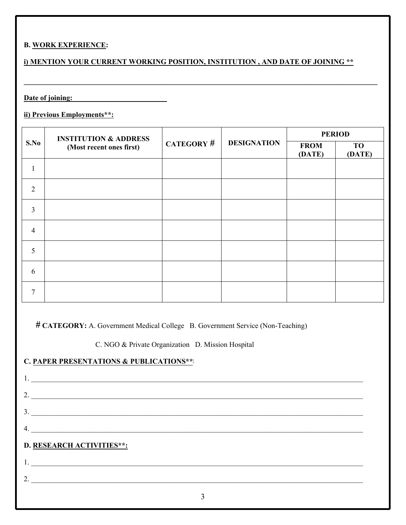## **B. WORK EXPERIENCE:**

# **i) MENTION YOUR CURRENT WORKING POSITION, INSTITUTION , AND DATE OF JOINING \*\***

**\_\_\_\_\_\_\_\_\_\_\_\_\_\_\_\_\_\_\_\_\_\_\_\_\_\_\_\_\_\_\_\_\_\_\_\_\_\_\_\_\_\_\_\_\_\_\_\_\_\_\_\_\_\_\_\_\_\_\_\_\_\_\_\_\_\_\_\_\_\_\_\_\_\_\_\_\_\_\_\_\_\_\_\_\_\_\_\_\_\_\_\_\_\_\_\_\_**

**Date of joining: \_\_\_\_\_\_\_\_\_\_\_\_\_\_\_\_\_\_\_\_\_\_\_\_\_**

## **ii) Previous Employments\*\*:**

|                | <b>INSTITUTION &amp; ADDRESS</b><br>(Most recent ones first) | <b>CATEGORY #</b> | <b>DESIGNATION</b> | <b>PERIOD</b>         |                     |  |
|----------------|--------------------------------------------------------------|-------------------|--------------------|-----------------------|---------------------|--|
| S.No           |                                                              |                   |                    | <b>FROM</b><br>(DATE) | <b>TO</b><br>(DATE) |  |
|                |                                                              |                   |                    |                       |                     |  |
| $\overline{2}$ |                                                              |                   |                    |                       |                     |  |
| $\overline{3}$ |                                                              |                   |                    |                       |                     |  |
| $\overline{4}$ |                                                              |                   |                    |                       |                     |  |
| 5              |                                                              |                   |                    |                       |                     |  |
| 6              |                                                              |                   |                    |                       |                     |  |
| $\overline{7}$ |                                                              |                   |                    |                       |                     |  |

**# CATEGORY:** A. Government Medical College B. Government Service (Non-Teaching)

C. NGO & Private Organization D. Mission Hospital

**C. PAPER PRESENTATIONS & PUBLICATIONS\*\*:**

# 3  $1. \ \ \ \ldots$ 2. \_\_\_\_\_\_\_\_\_\_\_\_\_\_\_\_\_\_\_\_\_\_\_\_\_\_\_\_\_\_\_\_\_\_\_\_\_\_\_\_\_\_\_\_\_\_\_\_\_\_\_\_\_\_\_\_\_\_\_\_\_\_\_\_\_\_\_\_\_\_\_\_\_\_\_\_\_\_\_\_\_\_\_\_\_\_\_\_\_\_\_  $3.$  $4.$ **D. RESEARCH ACTIVITIES\*\*:** 1. \_\_\_\_\_\_\_\_\_\_\_\_\_\_\_\_\_\_\_\_\_\_\_\_\_\_\_\_\_\_\_\_\_\_\_\_\_\_\_\_\_\_\_\_\_\_\_\_\_\_\_\_\_\_\_\_\_\_\_\_\_\_\_\_\_\_\_\_\_\_\_\_\_\_\_\_\_\_\_\_\_\_\_\_\_\_\_\_\_\_\_  $2.$   $\overline{\phantom{a}}$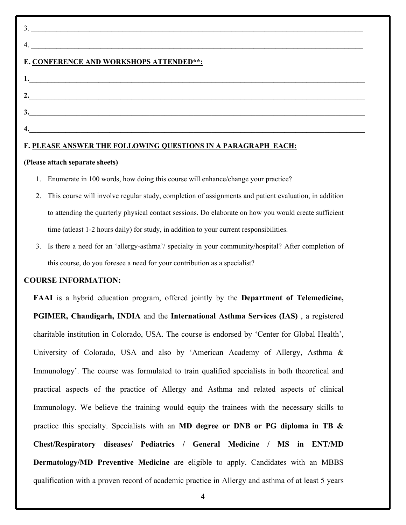| $\mathcal{E}$                           |  |
|-----------------------------------------|--|
| 4                                       |  |
| E. CONFERENCE AND WORKSHOPS ATTENDED**: |  |
|                                         |  |
|                                         |  |
|                                         |  |
|                                         |  |
|                                         |  |

## **F. PLEASE ANSWER THE FOLLOWING QUESTIONS IN A PARAGRAPH EACH:**

#### **(Please attach separate sheets)**

- 1. Enumerate in 100 words, how doing this course will enhance/change your practice?
- 2. This course will involve regular study, completion of assignments and patient evaluation, in addition to attending the quarterly physical contact sessions. Do elaborate on how you would create sufficient time (atleast 1-2 hours daily) for study, in addition to your current responsibilities.
- 3. Is there a need for an 'allergy-asthma'/ specialty in your community/hospital? After completion of this course, do you foresee a need for your contribution as a specialist?

#### **COURSE INFORMATION:**

**FAAI** is a hybrid education program, offered jointly by the **Department of Telemedicine, PGIMER, Chandigarh, INDIA** and the **International Asthma Services (IAS)** , a registered charitable institution in Colorado, USA. The course is endorsed by 'Center for Global Health', University of Colorado, USA and also by 'American Academy of Allergy, Asthma & Immunology'. The course was formulated to train qualified specialists in both theoretical and practical aspects of the practice of Allergy and Asthma and related aspects of clinical Immunology. We believe the training would equip the trainees with the necessary skills to practice this specialty. Specialists with an **MD degree or DNB or PG diploma in TB & Chest/Respiratory diseases/ Pediatrics / General Medicine / MS in ENT/MD Dermatology/MD Preventive Medicine** are eligible to apply. Candidates with an MBBS qualification with a proven record of academic practice in Allergy and asthma of at least 5 years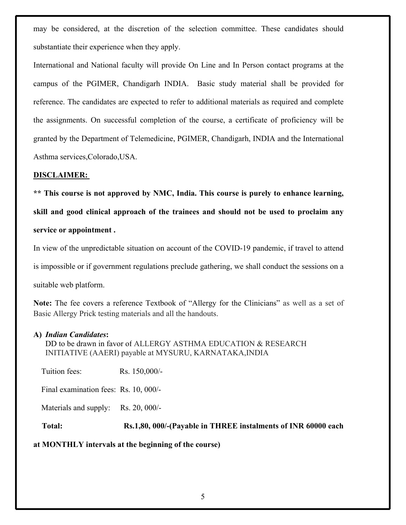may be considered, at the discretion of the selection committee. These candidates should substantiate their experience when they apply.

International and National faculty will provide On Line and In Person contact programs at the campus of the PGIMER, Chandigarh INDIA. Basic study material shall be provided for reference. The candidates are expected to refer to additional materials as required and complete the assignments. On successful completion of the course, a certificate of proficiency will be granted by the Department of Telemedicine, PGIMER, Chandigarh, INDIA and the International Asthma services,Colorado,USA.

#### **DISCLAIMER:**

**\*\* This course is not approved by NMC, India. This course is purely to enhance learning, skill and good clinical approach of the trainees and should not be used to proclaim any service or appointment .**

In view of the unpredictable situation on account of the COVID-19 pandemic, if travel to attend is impossible or if government regulations preclude gathering, we shall conduct the sessions on a suitable web platform.

**Note:** The fee covers a reference Textbook of "Allergy for the Clinicians" as well as a set of Basic Allergy Prick testing materials and all the handouts.

#### **A)** *Indian Candidates***:**

DD to be drawn in favor of ALLERGY ASTHMA EDUCATION & RESEARCH INITIATIVE (AAERI) payable at MYSURU, KARNATAKA,INDIA

Tuition fees: Rs. 150,000/-

Final examination fees: Rs. 10, 000/-

Materials and supply: Rs. 20, 000/-

**Total: Rs.1,80, 000/-(Payable in THREE instalments of INR 60000 each** 

## **at MONTHLY intervals at the beginning of the course)**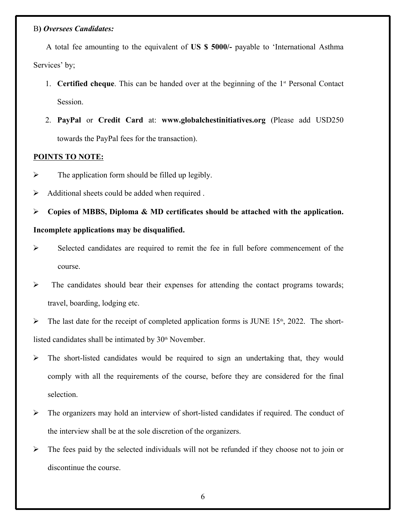#### B**)** *Oversees Candidates:*

A total fee amounting to the equivalent of **US \$ 5000/-** payable to 'International Asthma Services' by;

- 1. **Certified cheque**. This can be handed over at the beginning of the 1<sup>st</sup> Personal Contact Session.
- 2. **PayPal** or **Credit Card** at: **www.globalchestinitiatives.org** (Please add USD250 towards the PayPal fees for the transaction).

## **POINTS TO NOTE:**

- $\triangleright$  The application form should be filled up legibly.
- $\triangleright$  Additional sheets could be added when required .

 **Copies of MBBS, Diploma & MD certificates should be attached with the application. Incomplete applications may be disqualified.**

- $\triangleright$  Selected candidates are required to remit the fee in full before commencement of the course.
- $\triangleright$  The candidates should bear their expenses for attending the contact programs towards; travel, boarding, lodging etc.

 $\triangleright$  The last date for the receipt of completed application forms is JUNE 15<sup>th</sup>, 2022. The shortlisted candidates shall be intimated by 30<sup>th</sup> November.

- $\triangleright$  The short-listed candidates would be required to sign an undertaking that, they would comply with all the requirements of the course, before they are considered for the final selection.
- $\triangleright$  The organizers may hold an interview of short-listed candidates if required. The conduct of the interview shall be at the sole discretion of the organizers.
- $\triangleright$  The fees paid by the selected individuals will not be refunded if they choose not to join or discontinue the course.